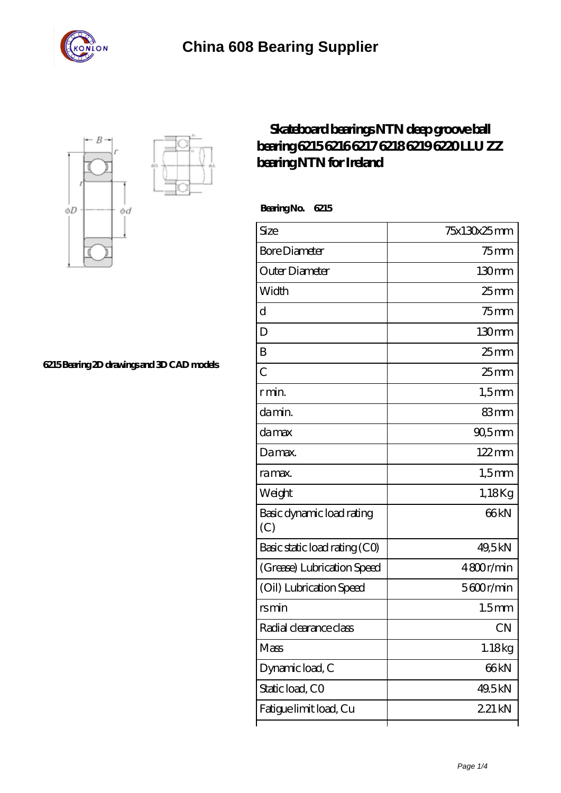



**[6215 Bearing 2D drawings and 3D CAD models](https://m.stavangerguiden.com/pic-677034.html)**

## **[Skateboard bearings NTN deep groove ball](https://m.stavangerguiden.com/ntn-6004lu-bearing/ntn-6215.html) [bearing 6215 6216 6217 6218 6219 6220 LLU ZZ](https://m.stavangerguiden.com/ntn-6004lu-bearing/ntn-6215.html) [bearing NTN for Ireland](https://m.stavangerguiden.com/ntn-6004lu-bearing/ntn-6215.html)**

 **Bearing No. 6215**

| Size                             | 75x130x25mm         |
|----------------------------------|---------------------|
| <b>Bore Diameter</b>             | $75$ mm             |
| Outer Diameter                   | 130mm               |
| Width                            | $25 \text{mm}$      |
| d                                | $75$ mm             |
| D                                | 130mm               |
| B                                | $25 \text{mm}$      |
| C                                | 25 <sub>mm</sub>    |
| r min.                           | $1,5$ mm            |
| da min.                          | 83mm                |
| damax                            | $90,5$ mm           |
| Damax.                           | $122 \,\mathrm{mm}$ |
| ra max.                          | $1,5$ mm            |
| Weight                           | 1,18Kg              |
| Basic dynamic load rating<br>(C) | 66 <sub>kN</sub>    |
| Basic static load rating (CO)    | 49,5kN              |
| (Grease) Lubrication Speed       | 4800r/min           |
| (Oil) Lubrication Speed          | 5600r/min           |
| rsmin                            | 1.5 <sub>mm</sub>   |
| Radial clearance class           | <b>CN</b>           |
| Mass                             | 1.18kg              |
| Dynamic load, C                  | 66 <sub>kN</sub>    |
| Static load, CO                  | 49.5kN              |
| Fatigue limit load, Cu           | 221 kN              |
|                                  |                     |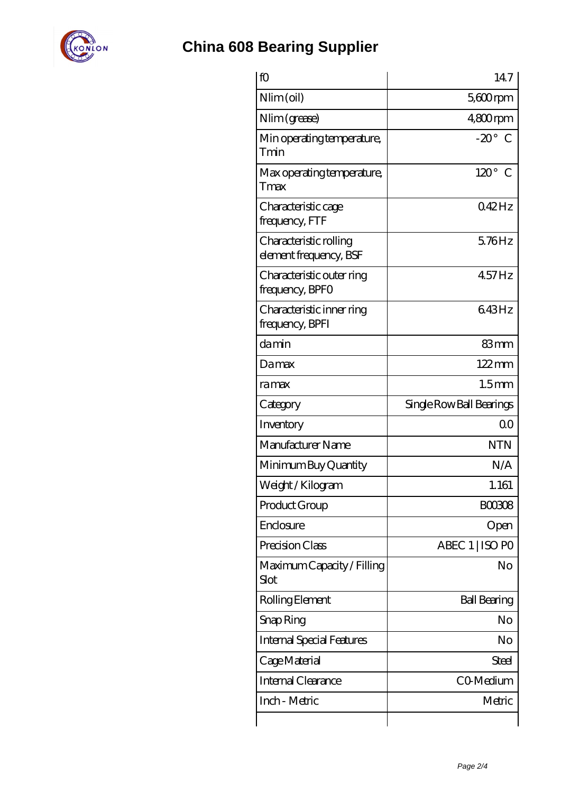

## **[China 608 Bearing Supplier](https://m.stavangerguiden.com)**

| fO                                               | 147                      |
|--------------------------------------------------|--------------------------|
| Nlim (oil)                                       | $5600$ rpm               |
| Nlim (grease)                                    | $480$ rpm                |
| Min operating temperature,<br>Tmin               | $-20^\circ$ C            |
| Max operating temperature,<br>Tmax               | $120^\circ$<br>€         |
| Characteristic cage<br>frequency, FTF            | $042$ Hz                 |
| Characteristic rolling<br>element frequency, BSF | $5.76$ Hz                |
| Characteristic outer ring<br>frequency, BPFO     | $457$ Hz                 |
| Characteristic inner ring<br>frequency, BPFI     | 643Hz                    |
| damin                                            | 83mm                     |
| Damax                                            | $122 \,\mathrm{mm}$      |
| ramax                                            | 1.5 <sub>mm</sub>        |
| Category                                         | Single Row Ball Bearings |
| Inventory                                        | 0 <sup>0</sup>           |
|                                                  |                          |
| Manufacturer Name                                | <b>NTN</b>               |
| Minimum Buy Quantity                             | N/A                      |
| Weight / Kilogram                                | 1.161                    |
| Product Group                                    | <b>BOO308</b>            |
| Enclosure                                        | Open                     |
| Precision Class                                  | ABEC 1   ISO PO          |
| Maximum Capacity / Filling<br>Slot               | No                       |
| Rolling Element                                  | <b>Ball Bearing</b>      |
| Snap Ring                                        | No                       |
| <b>Internal Special Features</b>                 | No                       |
| Cage Material                                    | Steel                    |
| Internal Clearance                               | CO-Medium                |
| Inch - Metric                                    | Metric                   |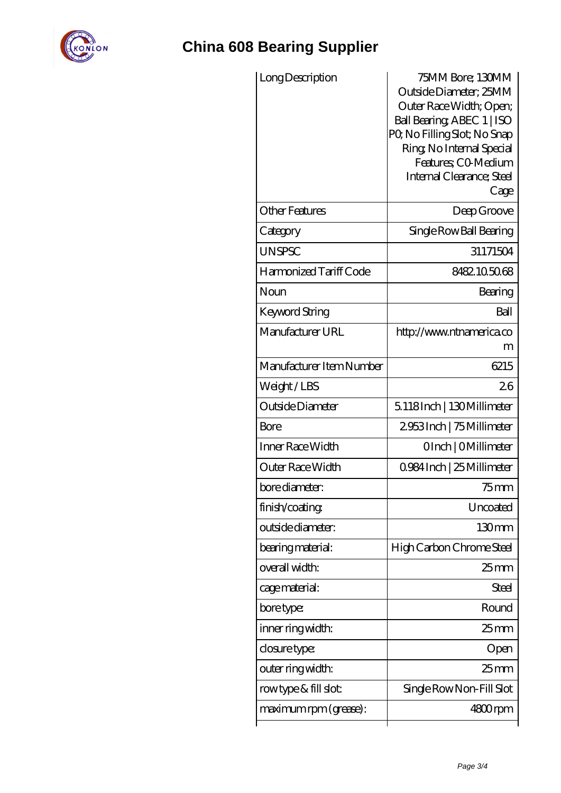

## **[China 608 Bearing Supplier](https://m.stavangerguiden.com)**

| Long Description         | 75MM Bore; 130MM<br>Outside Diameter; 25MM<br>Outer Race Width; Open;<br>Ball Bearing ABEC 1   ISO<br>PQ No Filling Slot; No Snap<br>Ring, No Internal Special<br>Features: CO-Medium<br>Internal Clearance; Steel<br>Cage |
|--------------------------|----------------------------------------------------------------------------------------------------------------------------------------------------------------------------------------------------------------------------|
| <b>Other Features</b>    | Deep Groove                                                                                                                                                                                                                |
| Category                 | Single Row Ball Bearing                                                                                                                                                                                                    |
| <b>UNSPSC</b>            | 31171504                                                                                                                                                                                                                   |
| Harmonized Tariff Code   | 8482.105068                                                                                                                                                                                                                |
| Noun                     | Bearing                                                                                                                                                                                                                    |
| Keyword String           | Ball                                                                                                                                                                                                                       |
| Manufacturer URL         | http://www.ntnamerica.co<br>m                                                                                                                                                                                              |
| Manufacturer Item Number | 6215                                                                                                                                                                                                                       |
| Weight/LBS               | 26                                                                                                                                                                                                                         |
| Outside Diameter         | 5.118Inch   130Millimeter                                                                                                                                                                                                  |
| Bore                     | 2953Inch   75 Millimeter                                                                                                                                                                                                   |
| Inner Race Width         | OInch   OMillimeter                                                                                                                                                                                                        |
| Outer Race Width         | 0.984 Inch   25 Millimeter                                                                                                                                                                                                 |
| bore diameter:           | $75$ mm                                                                                                                                                                                                                    |
| finish/coating           | Uncoated                                                                                                                                                                                                                   |
| outside diameter:        | 130 <sub>mm</sub>                                                                                                                                                                                                          |
| bearing material:        | High Carbon Chrome Steel                                                                                                                                                                                                   |
| overall width:           | $25 \text{mm}$                                                                                                                                                                                                             |
| cage material:           | Steel                                                                                                                                                                                                                      |
| bore type:               | Round                                                                                                                                                                                                                      |
| inner ring width:        | 25 mm                                                                                                                                                                                                                      |
| closure type:            | Open                                                                                                                                                                                                                       |
| outer ring width:        | $25$ mm                                                                                                                                                                                                                    |
| rowtype & fill slot:     | Single Row Non-Fill Slot                                                                                                                                                                                                   |
| maximum rpm (grease):    | 4800rpm                                                                                                                                                                                                                    |
|                          |                                                                                                                                                                                                                            |